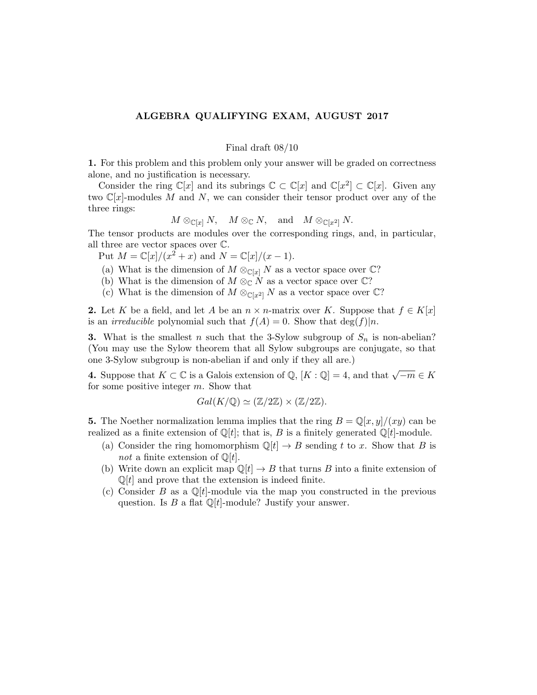## ALGEBRA QUALIFYING EXAM, AUGUST 2017

## Final draft 08/10

1. For this problem and this problem only your answer will be graded on correctness alone, and no justification is necessary.

Consider the ring  $\mathbb{C}[x]$  and its subrings  $\mathbb{C} \subset \mathbb{C}[x]$  and  $\mathbb{C}[x^2] \subset \mathbb{C}[x]$ . Given any two  $\mathbb{C}[x]$ -modules M and N, we can consider their tensor product over any of the three rings:

$$
M \otimes_{\mathbb{C}[x]} N
$$
,  $M \otimes_{\mathbb{C}} N$ , and  $M \otimes_{\mathbb{C}[x^2]} N$ .

The tensor products are modules over the corresponding rings, and, in particular, all three are vector spaces over C.

Put  $M = \mathbb{C}[x]/(x^2 + x)$  and  $N = \mathbb{C}[x]/(x - 1)$ .

- (a) What is the dimension of  $M \otimes_{\mathbb{C}[x]} N$  as a vector space over  $\mathbb{C}$ ?
- (b) What is the dimension of  $M \otimes_{\mathbb{C}} N$  as a vector space over  $\mathbb{C}$ ?
- (c) What is the dimension of  $M \otimes_{\mathbb{C}[x^2]} N$  as a vector space over  $\mathbb{C}$ ?

2. Let K be a field, and let A be an  $n \times n$ -matrix over K. Suppose that  $f \in K[x]$ is an *irreducible* polynomial such that  $f(A) = 0$ . Show that  $\deg(f)|n$ .

**3.** What is the smallest n such that the 3-Sylow subgroup of  $S_n$  is non-abelian? (You may use the Sylow theorem that all Sylow subgroups are conjugate, so that one 3-Sylow subgroup is non-abelian if and only if they all are.)

4. Suppose that  $K \subset \mathbb{C}$  is a Galois extension of  $\mathbb{Q}, [K : \mathbb{Q}] = 4$ , and that  $\sqrt{-m} \in K$ for some positive integer m. Show that

$$
Gal(K/\mathbb{Q}) \simeq (\mathbb{Z}/2\mathbb{Z}) \times (\mathbb{Z}/2\mathbb{Z}).
$$

5. The Noether normalization lemma implies that the ring  $B = \mathbb{Q}[x, y]/(xy)$  can be realized as a finite extension of  $\mathbb{Q}[t]$ ; that is, B is a finitely generated  $\mathbb{Q}[t]$ -module.

- (a) Consider the ring homomorphism  $\mathbb{Q}[t] \to B$  sending t to x. Show that B is not a finite extension of  $\mathbb{Q}[t]$ .
- (b) Write down an explicit map  $\mathbb{Q}[t] \to B$  that turns B into a finite extension of  $\mathbb{Q}[t]$  and prove that the extension is indeed finite.
- (c) Consider B as a  $\mathbb{Q}[t]$ -module via the map you constructed in the previous question. Is B a flat  $\mathbb{Q}[t]$ -module? Justify your answer.